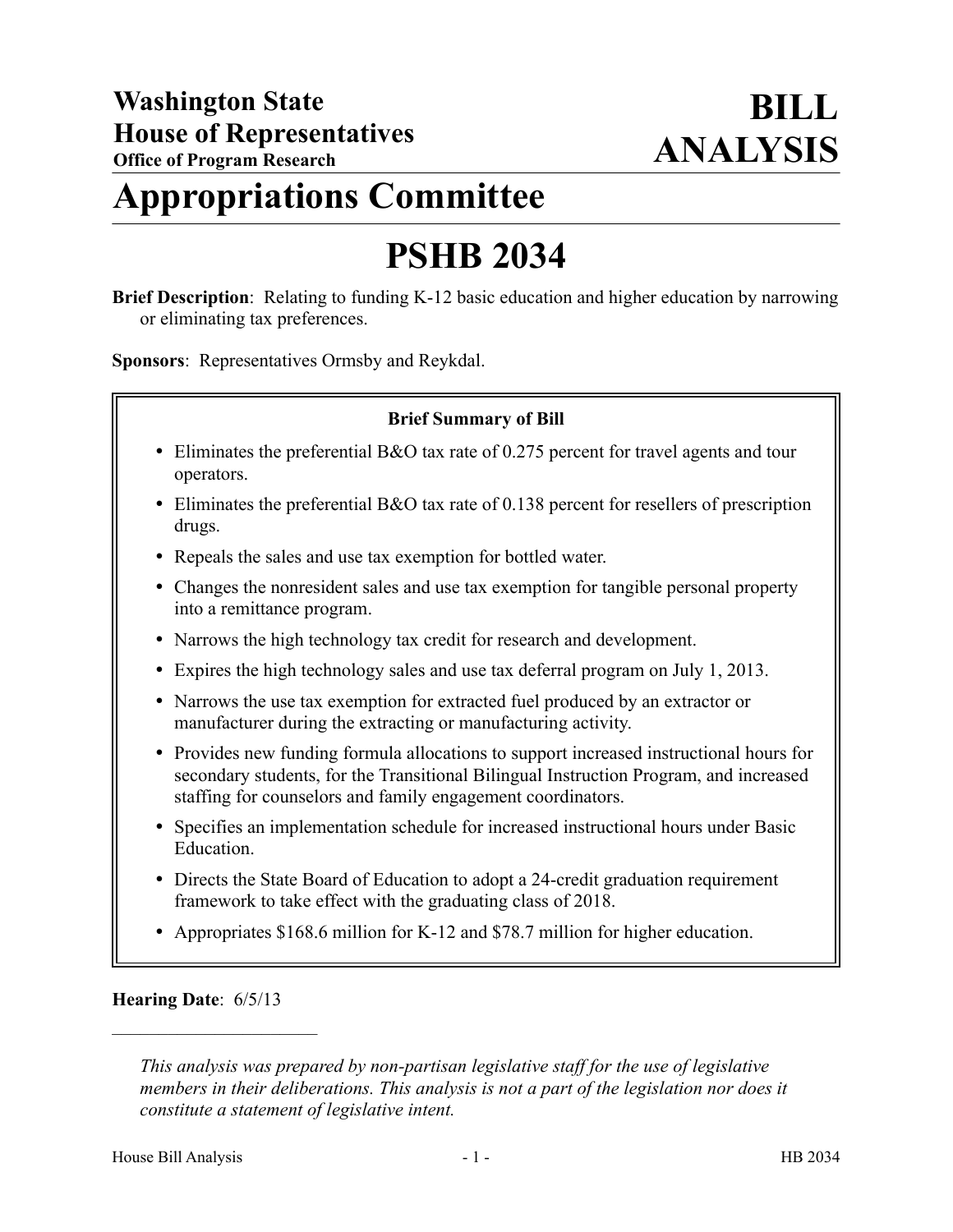## **Appropriations Committee**

# **PSHB 2034**

**Brief Description**: Relating to funding K-12 basic education and higher education by narrowing or eliminating tax preferences.

**Sponsors**: Representatives Ormsby and Reykdal.

## **Brief Summary of Bill**

- Eliminates the preferential B&O tax rate of 0.275 percent for travel agents and tour operators.
- Eliminates the preferential B&O tax rate of 0.138 percent for resellers of prescription drugs.
- Repeals the sales and use tax exemption for bottled water.
- Changes the nonresident sales and use tax exemption for tangible personal property into a remittance program.
- Narrows the high technology tax credit for research and development.
- Expires the high technology sales and use tax deferral program on July 1, 2013.
- Narrows the use tax exemption for extracted fuel produced by an extractor or manufacturer during the extracting or manufacturing activity.
- Provides new funding formula allocations to support increased instructional hours for secondary students, for the Transitional Bilingual Instruction Program, and increased staffing for counselors and family engagement coordinators.
- Specifies an implementation schedule for increased instructional hours under Basic Education.
- Directs the State Board of Education to adopt a 24-credit graduation requirement framework to take effect with the graduating class of 2018.
- Appropriates \$168.6 million for K-12 and \$78.7 million for higher education.

#### **Hearing Date**: 6/5/13

––––––––––––––––––––––

*This analysis was prepared by non-partisan legislative staff for the use of legislative members in their deliberations. This analysis is not a part of the legislation nor does it constitute a statement of legislative intent.*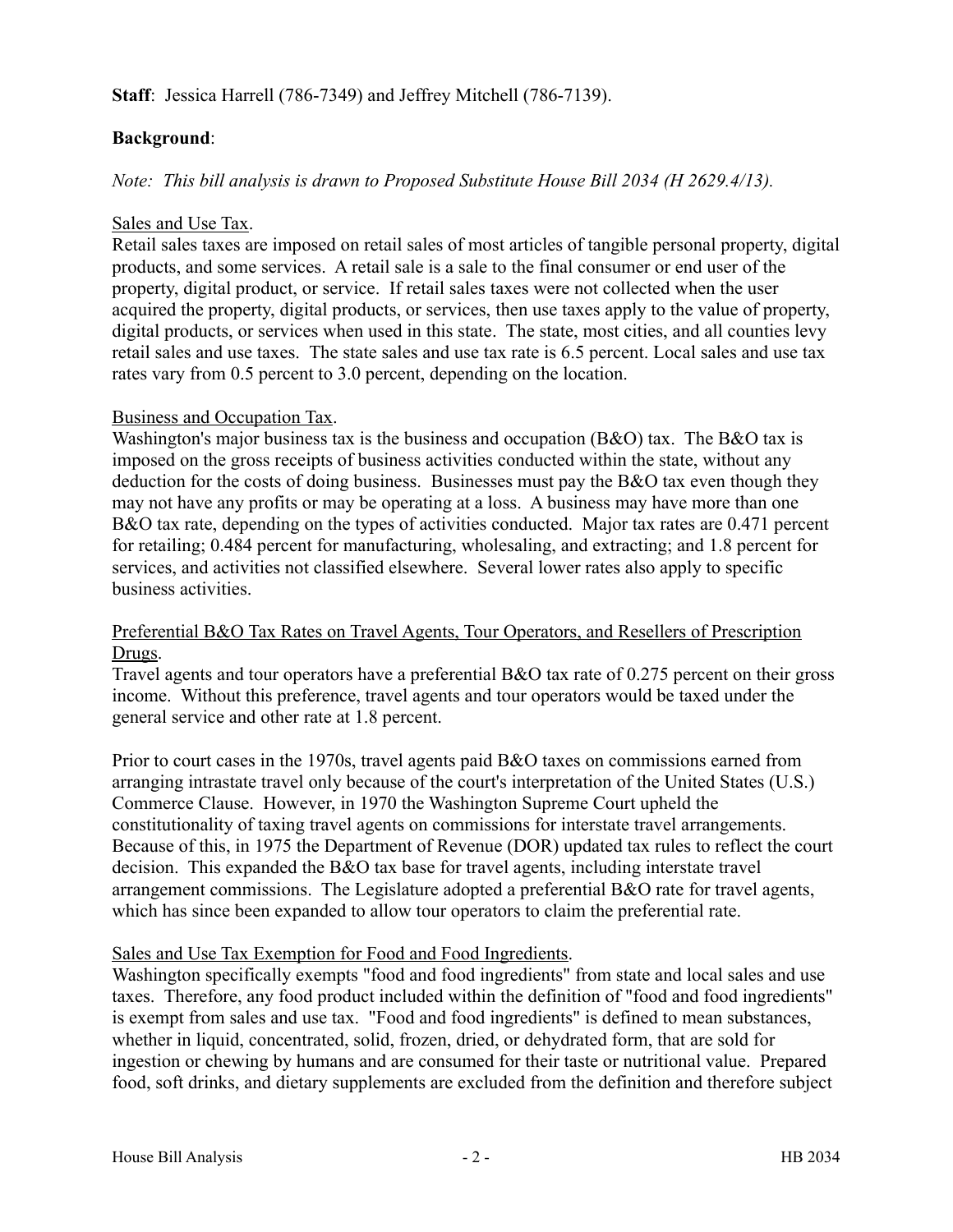## **Staff**: Jessica Harrell (786-7349) and Jeffrey Mitchell (786-7139).

## **Background**:

*Note: This bill analysis is drawn to Proposed Substitute House Bill 2034 (H 2629.4/13).*

## Sales and Use Tax.

Retail sales taxes are imposed on retail sales of most articles of tangible personal property, digital products, and some services. A retail sale is a sale to the final consumer or end user of the property, digital product, or service. If retail sales taxes were not collected when the user acquired the property, digital products, or services, then use taxes apply to the value of property, digital products, or services when used in this state. The state, most cities, and all counties levy retail sales and use taxes. The state sales and use tax rate is 6.5 percent. Local sales and use tax rates vary from 0.5 percent to 3.0 percent, depending on the location.

## Business and Occupation Tax.

Washington's major business tax is the business and occupation  $(B&O)$  tax. The B&O tax is imposed on the gross receipts of business activities conducted within the state, without any deduction for the costs of doing business. Businesses must pay the B&O tax even though they may not have any profits or may be operating at a loss. A business may have more than one B&O tax rate, depending on the types of activities conducted. Major tax rates are 0.471 percent for retailing; 0.484 percent for manufacturing, wholesaling, and extracting; and 1.8 percent for services, and activities not classified elsewhere. Several lower rates also apply to specific business activities.

## Preferential B&O Tax Rates on Travel Agents, Tour Operators, and Resellers of Prescription Drugs.

Travel agents and tour operators have a preferential B&O tax rate of 0.275 percent on their gross income. Without this preference, travel agents and tour operators would be taxed under the general service and other rate at 1.8 percent.

Prior to court cases in the 1970s, travel agents paid B&O taxes on commissions earned from arranging intrastate travel only because of the court's interpretation of the United States (U.S.) Commerce Clause. However, in 1970 the Washington Supreme Court upheld the constitutionality of taxing travel agents on commissions for interstate travel arrangements. Because of this, in 1975 the Department of Revenue (DOR) updated tax rules to reflect the court decision. This expanded the B&O tax base for travel agents, including interstate travel arrangement commissions. The Legislature adopted a preferential B&O rate for travel agents, which has since been expanded to allow tour operators to claim the preferential rate.

## Sales and Use Tax Exemption for Food and Food Ingredients.

Washington specifically exempts "food and food ingredients" from state and local sales and use taxes. Therefore, any food product included within the definition of "food and food ingredients" is exempt from sales and use tax. "Food and food ingredients" is defined to mean substances, whether in liquid, concentrated, solid, frozen, dried, or dehydrated form, that are sold for ingestion or chewing by humans and are consumed for their taste or nutritional value. Prepared food, soft drinks, and dietary supplements are excluded from the definition and therefore subject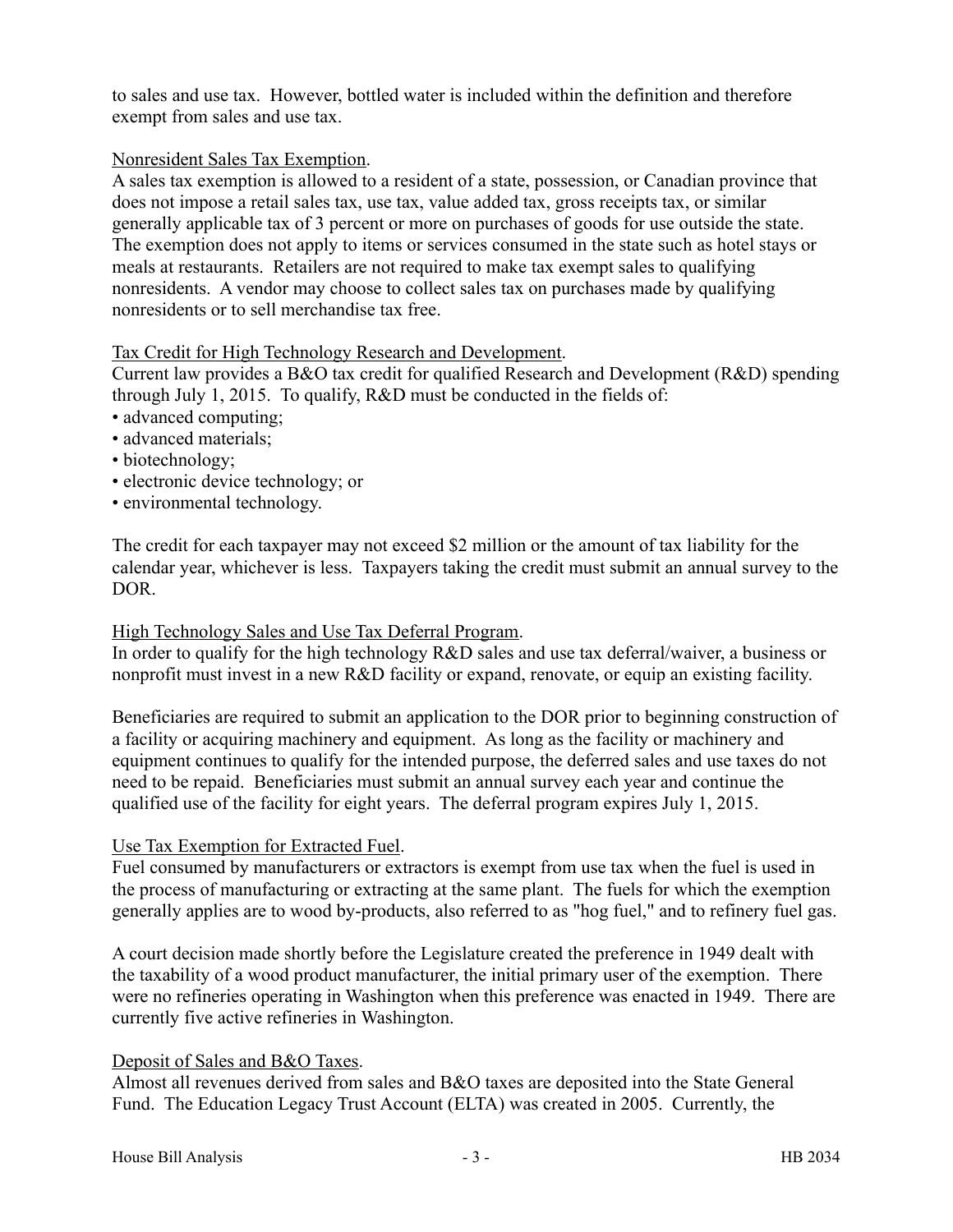to sales and use tax. However, bottled water is included within the definition and therefore exempt from sales and use tax.

## Nonresident Sales Tax Exemption.

A sales tax exemption is allowed to a resident of a state, possession, or Canadian province that does not impose a retail sales tax, use tax, value added tax, gross receipts tax, or similar generally applicable tax of 3 percent or more on purchases of goods for use outside the state. The exemption does not apply to items or services consumed in the state such as hotel stays or meals at restaurants. Retailers are not required to make tax exempt sales to qualifying nonresidents. A vendor may choose to collect sales tax on purchases made by qualifying nonresidents or to sell merchandise tax free.

## Tax Credit for High Technology Research and Development.

Current law provides a B&O tax credit for qualified Research and Development (R&D) spending through July 1, 2015. To qualify, R&D must be conducted in the fields of:

- advanced computing;
- advanced materials;
- biotechnology;
- electronic device technology; or
- environmental technology.

The credit for each taxpayer may not exceed \$2 million or the amount of tax liability for the calendar year, whichever is less. Taxpayers taking the credit must submit an annual survey to the DOR.

## High Technology Sales and Use Tax Deferral Program.

In order to qualify for the high technology R&D sales and use tax deferral/waiver, a business or nonprofit must invest in a new R&D facility or expand, renovate, or equip an existing facility.

Beneficiaries are required to submit an application to the DOR prior to beginning construction of a facility or acquiring machinery and equipment. As long as the facility or machinery and equipment continues to qualify for the intended purpose, the deferred sales and use taxes do not need to be repaid. Beneficiaries must submit an annual survey each year and continue the qualified use of the facility for eight years. The deferral program expires July 1, 2015.

## Use Tax Exemption for Extracted Fuel.

Fuel consumed by manufacturers or extractors is exempt from use tax when the fuel is used in the process of manufacturing or extracting at the same plant. The fuels for which the exemption generally applies are to wood by-products, also referred to as "hog fuel," and to refinery fuel gas.

A court decision made shortly before the Legislature created the preference in 1949 dealt with the taxability of a wood product manufacturer, the initial primary user of the exemption. There were no refineries operating in Washington when this preference was enacted in 1949. There are currently five active refineries in Washington.

#### Deposit of Sales and B&O Taxes.

Almost all revenues derived from sales and B&O taxes are deposited into the State General Fund. The Education Legacy Trust Account (ELTA) was created in 2005. Currently, the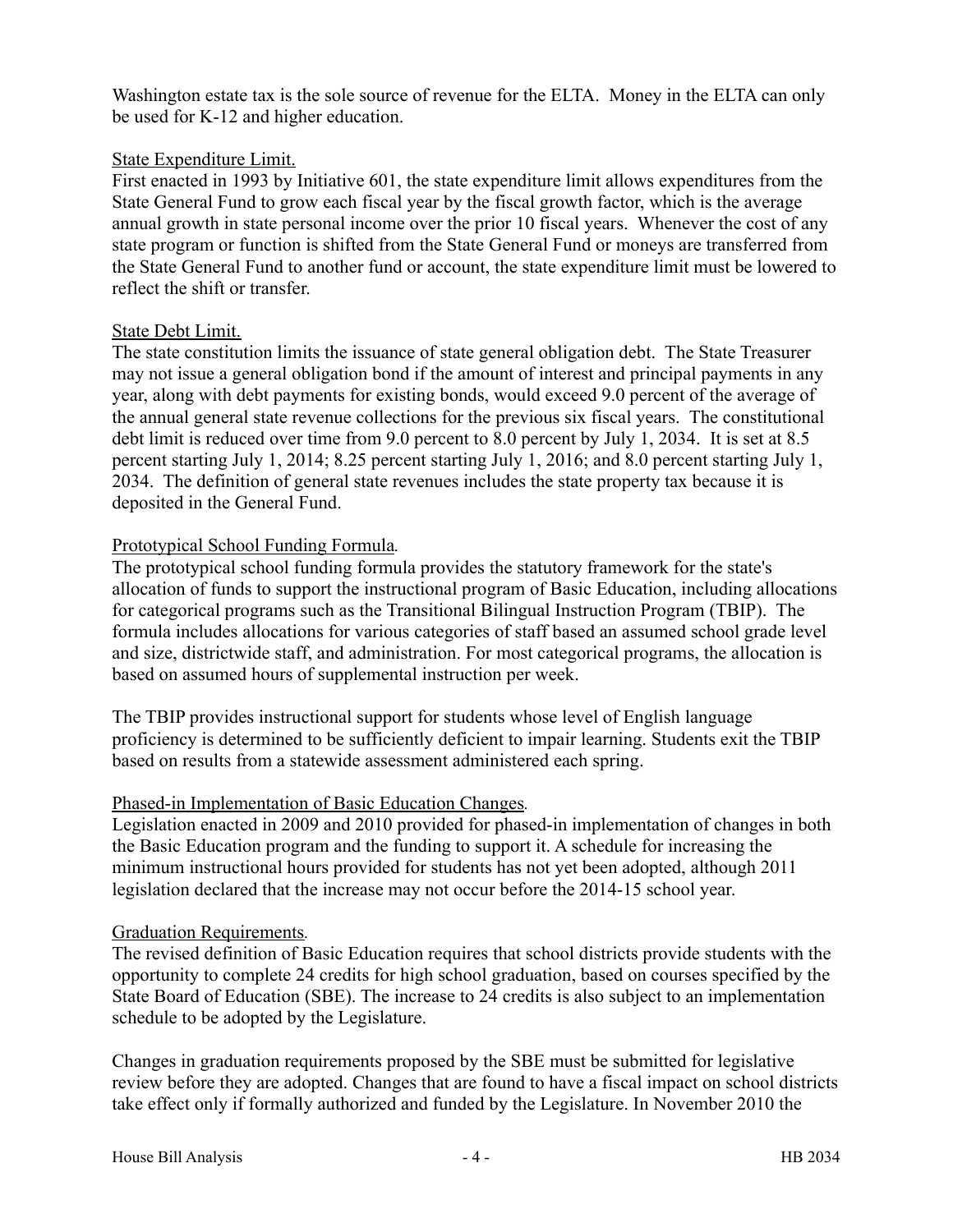Washington estate tax is the sole source of revenue for the ELTA. Money in the ELTA can only be used for K-12 and higher education.

## State Expenditure Limit.

First enacted in 1993 by Initiative 601, the state expenditure limit allows expenditures from the State General Fund to grow each fiscal year by the fiscal growth factor, which is the average annual growth in state personal income over the prior 10 fiscal years. Whenever the cost of any state program or function is shifted from the State General Fund or moneys are transferred from the State General Fund to another fund or account, the state expenditure limit must be lowered to reflect the shift or transfer.

## State Debt Limit.

The state constitution limits the issuance of state general obligation debt. The State Treasurer may not issue a general obligation bond if the amount of interest and principal payments in any year, along with debt payments for existing bonds, would exceed 9.0 percent of the average of the annual general state revenue collections for the previous six fiscal years. The constitutional debt limit is reduced over time from 9.0 percent to 8.0 percent by July 1, 2034. It is set at 8.5 percent starting July 1, 2014; 8.25 percent starting July 1, 2016; and 8.0 percent starting July 1, 2034. The definition of general state revenues includes the state property tax because it is deposited in the General Fund.

## Prototypical School Funding Formula*.*

The prototypical school funding formula provides the statutory framework for the state's allocation of funds to support the instructional program of Basic Education, including allocations for categorical programs such as the Transitional Bilingual Instruction Program (TBIP). The formula includes allocations for various categories of staff based an assumed school grade level and size, districtwide staff, and administration. For most categorical programs, the allocation is based on assumed hours of supplemental instruction per week.

The TBIP provides instructional support for students whose level of English language proficiency is determined to be sufficiently deficient to impair learning. Students exit the TBIP based on results from a statewide assessment administered each spring.

## Phased-in Implementation of Basic Education Changes*.*

Legislation enacted in 2009 and 2010 provided for phased-in implementation of changes in both the Basic Education program and the funding to support it. A schedule for increasing the minimum instructional hours provided for students has not yet been adopted, although 2011 legislation declared that the increase may not occur before the 2014-15 school year.

#### Graduation Requirements*.*

The revised definition of Basic Education requires that school districts provide students with the opportunity to complete 24 credits for high school graduation, based on courses specified by the State Board of Education (SBE). The increase to 24 credits is also subject to an implementation schedule to be adopted by the Legislature.

Changes in graduation requirements proposed by the SBE must be submitted for legislative review before they are adopted. Changes that are found to have a fiscal impact on school districts take effect only if formally authorized and funded by the Legislature. In November 2010 the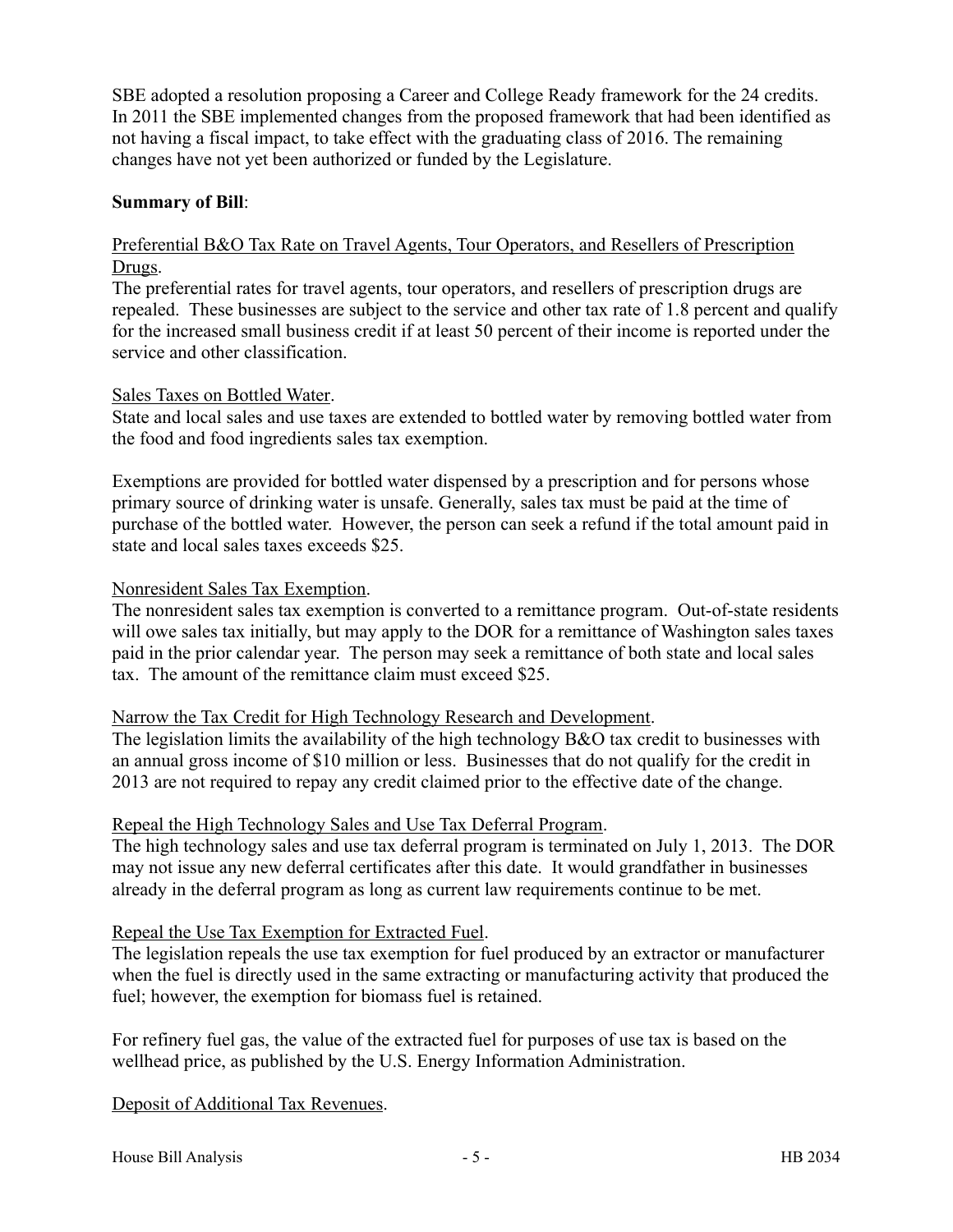SBE adopted a resolution proposing a Career and College Ready framework for the 24 credits. In 2011 the SBE implemented changes from the proposed framework that had been identified as not having a fiscal impact, to take effect with the graduating class of 2016. The remaining changes have not yet been authorized or funded by the Legislature.

## **Summary of Bill**:

## Preferential B&O Tax Rate on Travel Agents, Tour Operators, and Resellers of Prescription Drugs.

The preferential rates for travel agents, tour operators, and resellers of prescription drugs are repealed. These businesses are subject to the service and other tax rate of 1.8 percent and qualify for the increased small business credit if at least 50 percent of their income is reported under the service and other classification.

#### Sales Taxes on Bottled Water.

State and local sales and use taxes are extended to bottled water by removing bottled water from the food and food ingredients sales tax exemption.

Exemptions are provided for bottled water dispensed by a prescription and for persons whose primary source of drinking water is unsafe. Generally, sales tax must be paid at the time of purchase of the bottled water. However, the person can seek a refund if the total amount paid in state and local sales taxes exceeds \$25.

#### Nonresident Sales Tax Exemption.

The nonresident sales tax exemption is converted to a remittance program. Out-of-state residents will owe sales tax initially, but may apply to the DOR for a remittance of Washington sales taxes paid in the prior calendar year. The person may seek a remittance of both state and local sales tax. The amount of the remittance claim must exceed \$25.

#### Narrow the Tax Credit for High Technology Research and Development.

The legislation limits the availability of the high technology B&O tax credit to businesses with an annual gross income of \$10 million or less. Businesses that do not qualify for the credit in 2013 are not required to repay any credit claimed prior to the effective date of the change.

#### Repeal the High Technology Sales and Use Tax Deferral Program.

The high technology sales and use tax deferral program is terminated on July 1, 2013. The DOR may not issue any new deferral certificates after this date. It would grandfather in businesses already in the deferral program as long as current law requirements continue to be met.

#### Repeal the Use Tax Exemption for Extracted Fuel.

The legislation repeals the use tax exemption for fuel produced by an extractor or manufacturer when the fuel is directly used in the same extracting or manufacturing activity that produced the fuel; however, the exemption for biomass fuel is retained.

For refinery fuel gas, the value of the extracted fuel for purposes of use tax is based on the wellhead price, as published by the U.S. Energy Information Administration.

Deposit of Additional Tax Revenues.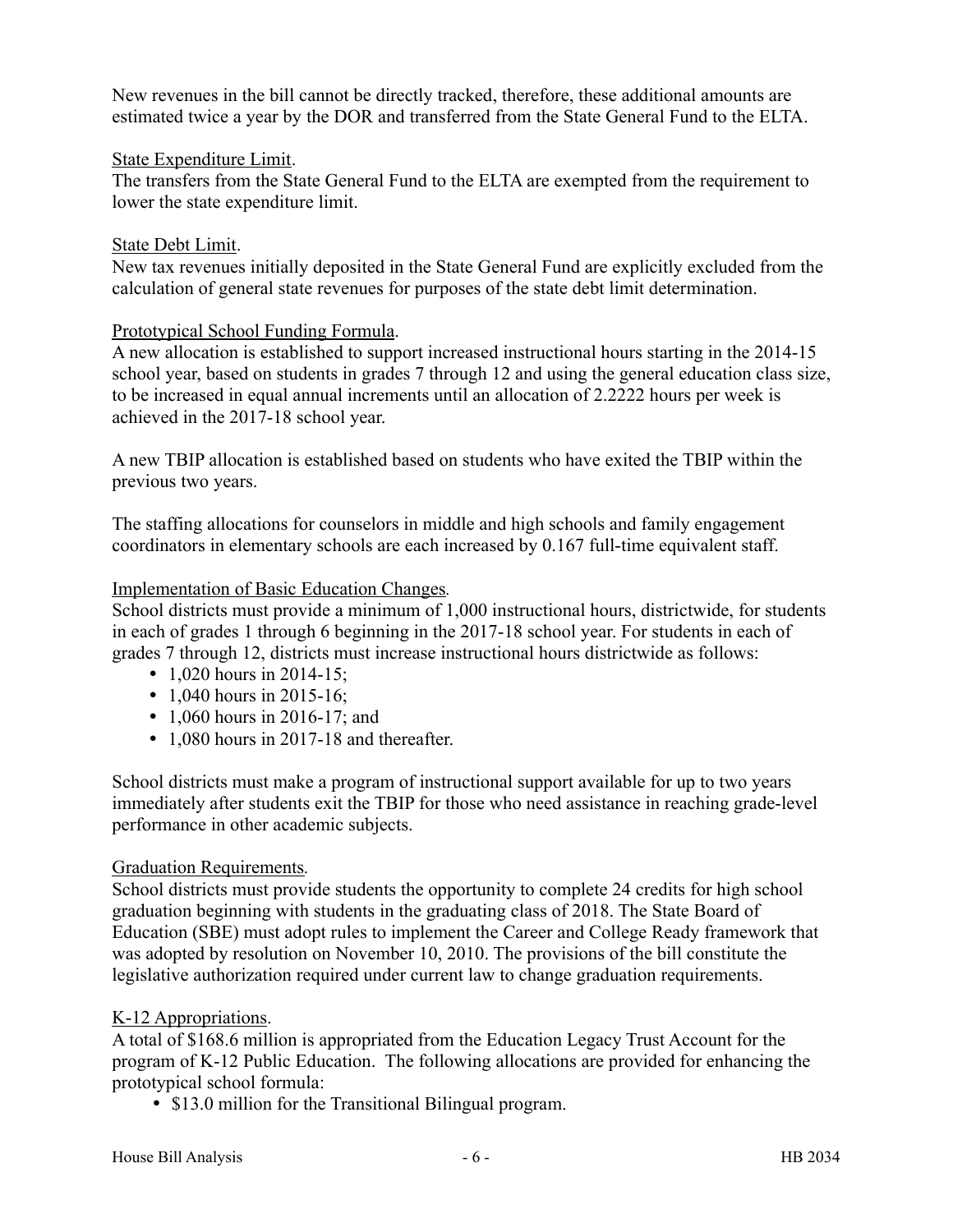New revenues in the bill cannot be directly tracked, therefore, these additional amounts are estimated twice a year by the DOR and transferred from the State General Fund to the ELTA.

## State Expenditure Limit.

The transfers from the State General Fund to the ELTA are exempted from the requirement to lower the state expenditure limit.

#### State Debt Limit.

New tax revenues initially deposited in the State General Fund are explicitly excluded from the calculation of general state revenues for purposes of the state debt limit determination.

## Prototypical School Funding Formula.

A new allocation is established to support increased instructional hours starting in the 2014-15 school year, based on students in grades 7 through 12 and using the general education class size, to be increased in equal annual increments until an allocation of 2.2222 hours per week is achieved in the 2017-18 school year.

A new TBIP allocation is established based on students who have exited the TBIP within the previous two years.

The staffing allocations for counselors in middle and high schools and family engagement coordinators in elementary schools are each increased by 0.167 full-time equivalent staff.

## Implementation of Basic Education Changes*.*

School districts must provide a minimum of 1,000 instructional hours, districtwide, for students in each of grades 1 through 6 beginning in the 2017-18 school year. For students in each of grades 7 through 12, districts must increase instructional hours districtwide as follows:

- 1,020 hours in 2014-15;
- 1,040 hours in 2015-16;
- 1,060 hours in 2016-17; and
- 1,080 hours in 2017-18 and thereafter.

School districts must make a program of instructional support available for up to two years immediately after students exit the TBIP for those who need assistance in reaching grade-level performance in other academic subjects.

#### Graduation Requirements*.*

School districts must provide students the opportunity to complete 24 credits for high school graduation beginning with students in the graduating class of 2018. The State Board of Education (SBE) must adopt rules to implement the Career and College Ready framework that was adopted by resolution on November 10, 2010. The provisions of the bill constitute the legislative authorization required under current law to change graduation requirements.

## K-12 Appropriations.

A total of \$168.6 million is appropriated from the Education Legacy Trust Account for the program of K-12 Public Education. The following allocations are provided for enhancing the prototypical school formula:

• \$13.0 million for the Transitional Bilingual program.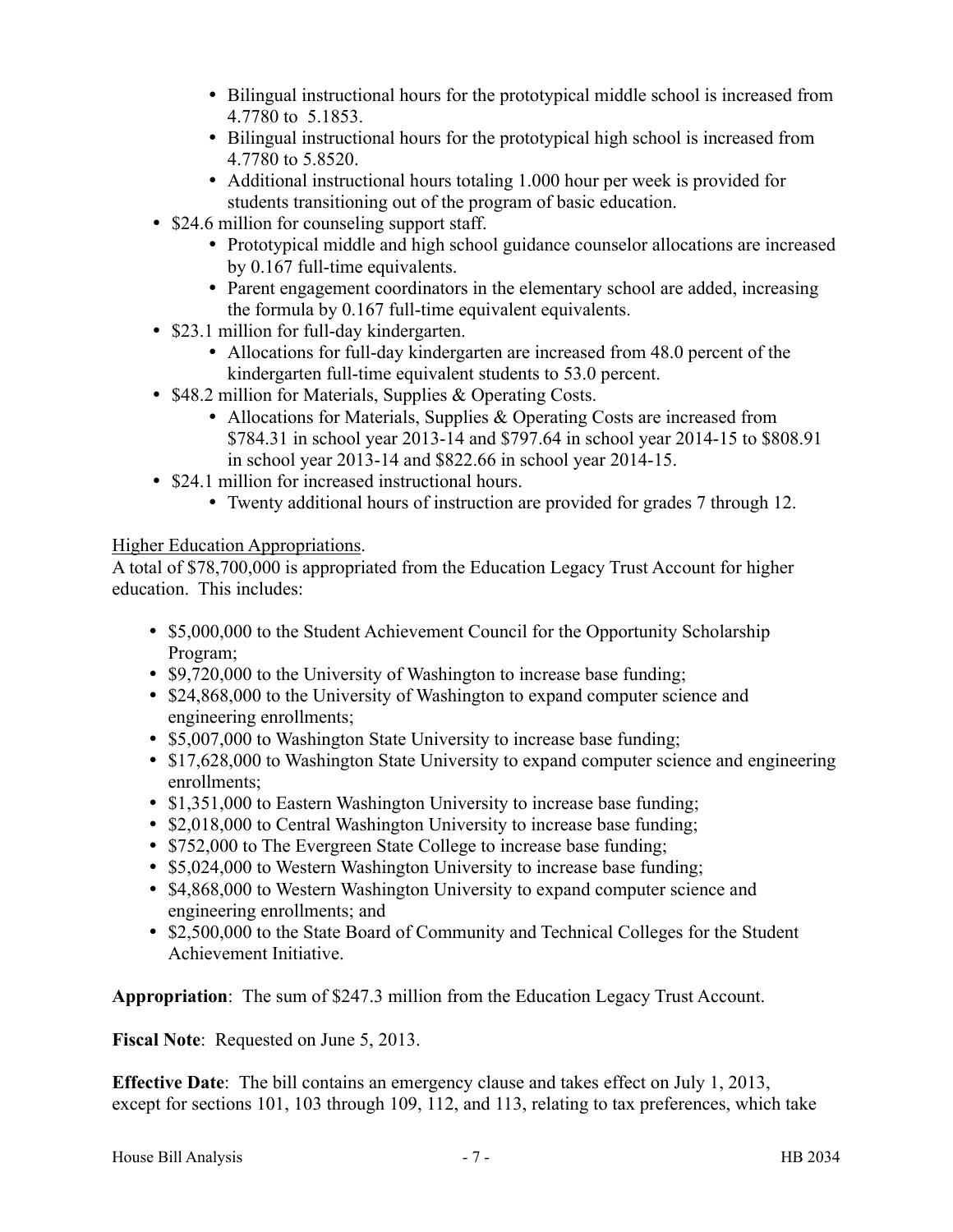- Bilingual instructional hours for the prototypical middle school is increased from 4.7780 to 5.1853.
- Bilingual instructional hours for the prototypical high school is increased from 4.7780 to 5.8520.
- Additional instructional hours totaling 1.000 hour per week is provided for students transitioning out of the program of basic education.
- \$24.6 million for counseling support staff.
	- Prototypical middle and high school guidance counselor allocations are increased by 0.167 full-time equivalents.
	- Parent engagement coordinators in the elementary school are added, increasing the formula by 0.167 full-time equivalent equivalents.
- \$23.1 million for full-day kindergarten.
	- Allocations for full-day kindergarten are increased from 48.0 percent of the kindergarten full-time equivalent students to 53.0 percent.
- \$48.2 million for Materials, Supplies & Operating Costs.
	- Allocations for Materials, Supplies & Operating Costs are increased from \$784.31 in school year 2013-14 and \$797.64 in school year 2014-15 to \$808.91 in school year 2013-14 and \$822.66 in school year 2014-15.
- \$24.1 million for increased instructional hours.
	- Twenty additional hours of instruction are provided for grades 7 through 12.

## Higher Education Appropriations.

A total of \$78,700,000 is appropriated from the Education Legacy Trust Account for higher education. This includes:

- \$5,000,000 to the Student Achievement Council for the Opportunity Scholarship Program;
- \$9,720,000 to the University of Washington to increase base funding;
- \$24,868,000 to the University of Washington to expand computer science and engineering enrollments;
- \$5,007,000 to Washington State University to increase base funding;
- \$17,628,000 to Washington State University to expand computer science and engineering enrollments;
- \$1,351,000 to Eastern Washington University to increase base funding;
- \$2,018,000 to Central Washington University to increase base funding;
- \$752,000 to The Evergreen State College to increase base funding;
- \$5,024,000 to Western Washington University to increase base funding;
- \$4,868,000 to Western Washington University to expand computer science and engineering enrollments; and
- \$2,500,000 to the State Board of Community and Technical Colleges for the Student Achievement Initiative.

**Appropriation**: The sum of \$247.3 million from the Education Legacy Trust Account.

**Fiscal Note**: Requested on June 5, 2013.

**Effective Date**: The bill contains an emergency clause and takes effect on July 1, 2013, except for sections 101, 103 through 109, 112, and 113, relating to tax preferences, which take